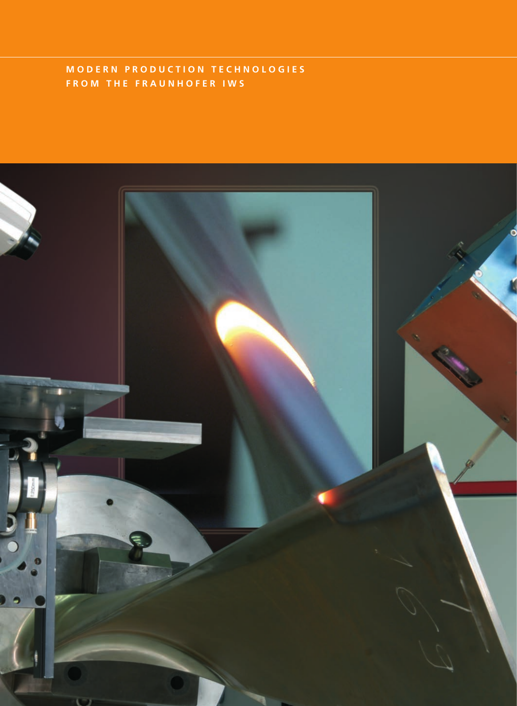## **M O D E R N P R O D U C T I O N T E C H N O L O G I E S F R O M T H E F R A U N H O F E R I W S**

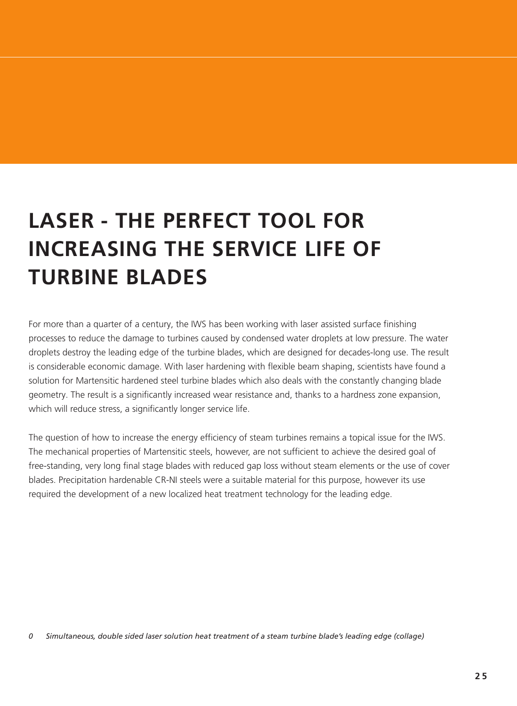## **LASER - THE PERFECT TOOL FOR INCREASING THE SERVICE LIFE OF TURBINE BLADES**

For more than a quarter of a century, the IWS has been working with laser assisted surface finishing processes to reduce the damage to turbines caused by condensed water droplets at low pressure. The water droplets destroy the leading edge of the turbine blades, which are designed for decades-long use. The result is considerable economic damage. With laser hardening with flexible beam shaping, scientists have found a solution for Martensitic hardened steel turbine blades which also deals with the constantly changing blade geometry. The result is a significantly increased wear resistance and, thanks to a hardness zone expansion, which will reduce stress, a significantly longer service life.

The question of how to increase the energy efficiency of steam turbines remains a topical issue for the IWS. The mechanical properties of Martensitic steels, however, are not sufficient to achieve the desired goal of free-standing, very long final stage blades with reduced gap loss without steam elements or the use of cover blades. Precipitation hardenable CR-NI steels were a suitable material for this purpose, however its use required the development of a new localized heat treatment technology for the leading edge.